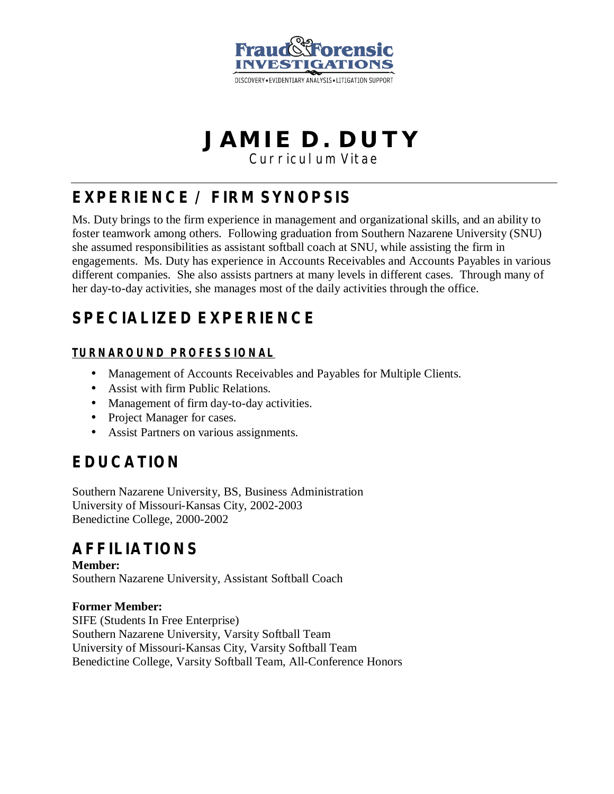

# **JAMIE D. DUTY**

Curriculum Vitae

## **EXPERIENCE / FIRM SYNOPSIS**

Ms. Duty brings to the firm experience in management and organizational skills, and an ability to foster teamwork among others. Following graduation from Southern Nazarene University (SNU) she assumed responsibilities as assistant softball coach at SNU, while assisting the firm in engagements. Ms. Duty has experience in Accounts Receivables and Accounts Payables in various different companies. She also assists partners at many levels in different cases. Through many of her day-to-day activities, she manages most of the daily activities through the office.

### **SPECIALIZED EXPERIENCE**

#### **TURNAROUND PROFESSIONAL**

- Management of Accounts Receivables and Payables for Multiple Clients.
- Assist with firm Public Relations.
- Management of firm day-to-day activities.
- Project Manager for cases.
- Assist Partners on various assignments.

### **EDUCATION**

Southern Nazarene University, BS, Business Administration University of Missouri-Kansas City, 2002-2003 Benedictine College, 2000-2002

#### **AFFILIATIONS**

**Member:**  Southern Nazarene University, Assistant Softball Coach

#### **Former Member:**

SIFE (Students In Free Enterprise) Southern Nazarene University, Varsity Softball Team University of Missouri-Kansas City, Varsity Softball Team Benedictine College, Varsity Softball Team, All-Conference Honors